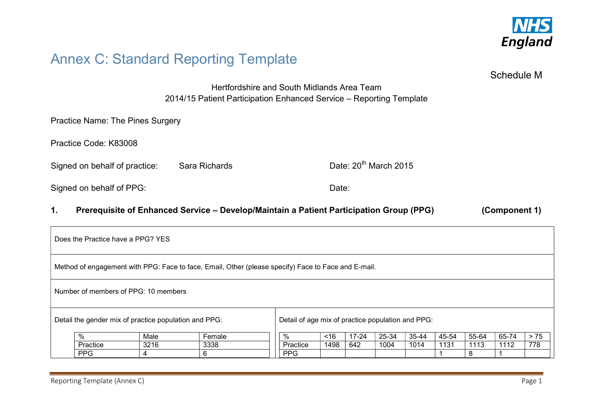

# Annex C: Standard Reporting Template

Schedule M

Hertfordshire and South Midlands Area Team 2014/15 Patient Participation Enhanced Service – Reporting Template

Practice Name: The Pines Surgery

Practice Code: K83008

Signed on behalf of practice: Sara Richards Date: 20<sup>th</sup> March 2015

Signed on behalf of PPG: Date: Date: Date:

## 1. Prerequisite of Enhanced Service – Develop/Maintain a Patient Participation Group (PPG) (Component 1)

Does the Practice have a PPG? YES Method of engagement with PPG: Face to face, Email, Other (please specify) Face to Face and E-mail. Number of members of PPG: 10 members Detail the gender mix of practice population and PPG: % Male Female Practice 3216 3338 PPG | 4 | 6 Detail of age mix of practice population and PPG: % <16 17-24 25-34 35-44 45-54 55-64 65-74 > 75 Practice 1498 642 1004 1014 1131 1113 1112 778 PPG 1 8 1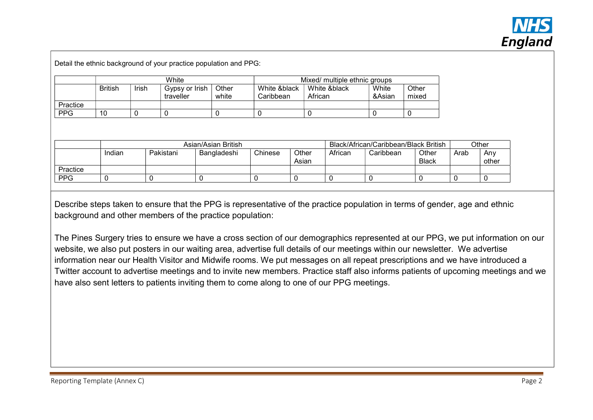

Detail the ethnic background of your practice population and PPG:

|            | White          |       |                             |                | Mixed/ multiple ethnic groups |                         |                 |                |  |
|------------|----------------|-------|-----------------------------|----------------|-------------------------------|-------------------------|-----------------|----------------|--|
|            | <b>British</b> | Irish | Gypsy or Irish<br>traveller | Other<br>white | White &black<br>Caribbean     | White &black<br>African | White<br>&Asian | Other<br>mixed |  |
| Practice   |                |       |                             |                |                               |                         |                 |                |  |
| <b>PPG</b> | 10             |       |                             |                |                               |                         |                 |                |  |

|            | Asian/Asian British |           |             |         |                | Black/African/Caribbean/Black British |           |                       | Other |              |
|------------|---------------------|-----------|-------------|---------|----------------|---------------------------------------|-----------|-----------------------|-------|--------------|
|            | Indian              | Pakistani | Bangladeshi | Chinese | Other<br>Asian | African                               | Caribbean | Other<br><b>Black</b> | Arab  | Anv<br>other |
| Practice   |                     |           |             |         |                |                                       |           |                       |       |              |
| <b>PPG</b> |                     |           |             |         |                |                                       |           |                       |       |              |

Describe steps taken to ensure that the PPG is representative of the practice population in terms of gender, age and ethnic background and other members of the practice population:

The Pines Surgery tries to ensure we have a cross section of our demographics represented at our PPG, we put information on our website, we also put posters in our waiting area, advertise full details of our meetings within our newsletter. We advertise information near our Health Visitor and Midwife rooms. We put messages on all repeat prescriptions and we have introduced a Twitter account to advertise meetings and to invite new members. Practice staff also informs patients of upcoming meetings and we have also sent letters to patients inviting them to come along to one of our PPG meetings.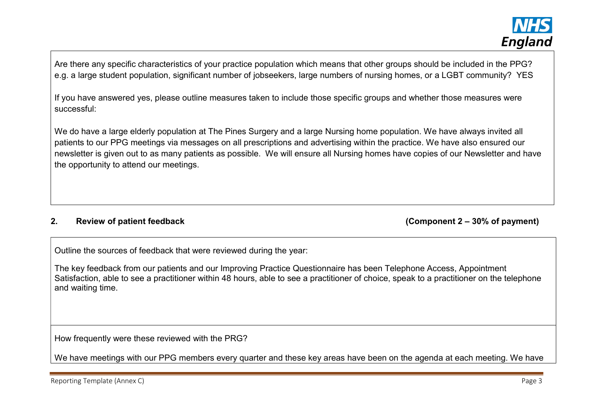Are there any specific characteristics of your practice population which means that other groups should be included in the PPG? e.g. a large student population, significant number of jobseekers, large numbers of nursing homes, or a LGBT community? YES

If you have answered yes, please outline measures taken to include those specific groups and whether those measures were successful:

We do have a large elderly population at The Pines Surgery and a large Nursing home population. We have always invited all patients to our PPG meetings via messages on all prescriptions and advertising within the practice. We have also ensured our newsletter is given out to as many patients as possible. We will ensure all Nursing homes have copies of our Newsletter and have the opportunity to attend our meetings.

#### 2. Review of patient feedback (Component 2 – 30% of payment)

Outline the sources of feedback that were reviewed during the year:

The key feedback from our patients and our Improving Practice Questionnaire has been Telephone Access, Appointment Satisfaction, able to see a practitioner within 48 hours, able to see a practitioner of choice, speak to a practitioner on the telephone and waiting time.

How frequently were these reviewed with the PRG?

We have meetings with our PPG members every quarter and these key areas have been on the agenda at each meeting. We have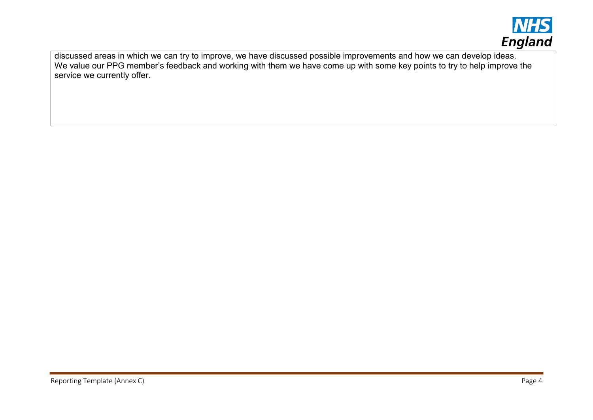

discussed areas in which we can try to improve, we have discussed possible improvements and how we can develop ideas. We value our PPG member's feedback and working with them we have come up with some key points to try to help improve the service we currently offer.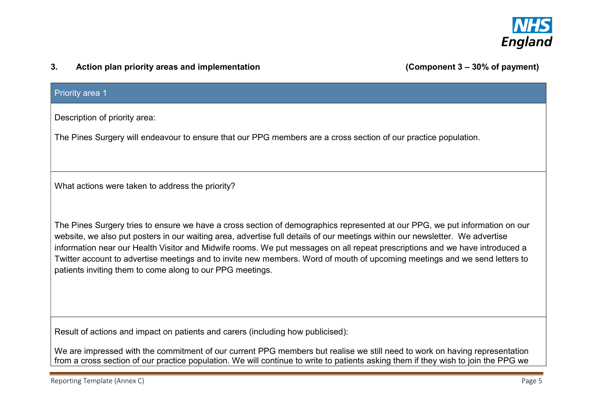

### 3. Action plan priority areas and implementation (Component 3 – 30% of payment)

#### Priority area 1

Description of priority area:

The Pines Surgery will endeavour to ensure that our PPG members are a cross section of our practice population.

What actions were taken to address the priority?

The Pines Surgery tries to ensure we have a cross section of demographics represented at our PPG, we put information on our website, we also put posters in our waiting area, advertise full details of our meetings within our newsletter. We advertise information near our Health Visitor and Midwife rooms. We put messages on all repeat prescriptions and we have introduced a Twitter account to advertise meetings and to invite new members. Word of mouth of upcoming meetings and we send letters to patients inviting them to come along to our PPG meetings.

Result of actions and impact on patients and carers (including how publicised):

We are impressed with the commitment of our current PPG members but realise we still need to work on having representation from a cross section of our practice population. We will continue to write to patients asking them if they wish to join the PPG we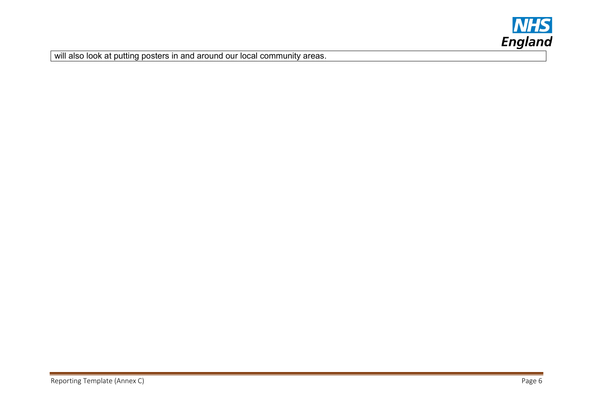

will also look at putting posters in and around our local community areas.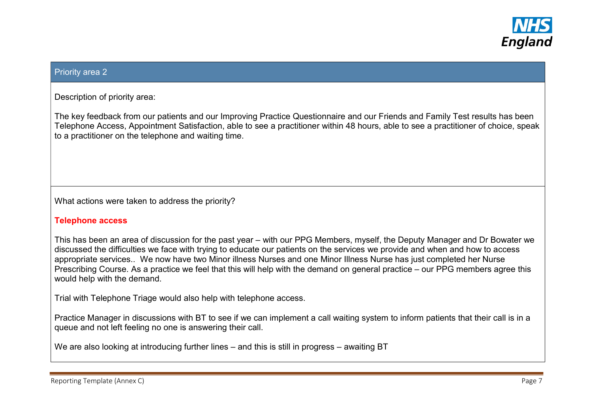

#### Priority area 2

Description of priority area:

The key feedback from our patients and our Improving Practice Questionnaire and our Friends and Family Test results has been Telephone Access, Appointment Satisfaction, able to see a practitioner within 48 hours, able to see a practitioner of choice, speak to a practitioner on the telephone and waiting time.

What actions were taken to address the priority?

#### Telephone access

This has been an area of discussion for the past year – with our PPG Members, myself, the Deputy Manager and Dr Bowater we discussed the difficulties we face with trying to educate our patients on the services we provide and when and how to access appropriate services.. We now have two Minor illness Nurses and one Minor Illness Nurse has just completed her Nurse Prescribing Course. As a practice we feel that this will help with the demand on general practice – our PPG members agree this would help with the demand.

Trial with Telephone Triage would also help with telephone access.

Practice Manager in discussions with BT to see if we can implement a call waiting system to inform patients that their call is in a queue and not left feeling no one is answering their call.

We are also looking at introducing further lines – and this is still in progress – awaiting BT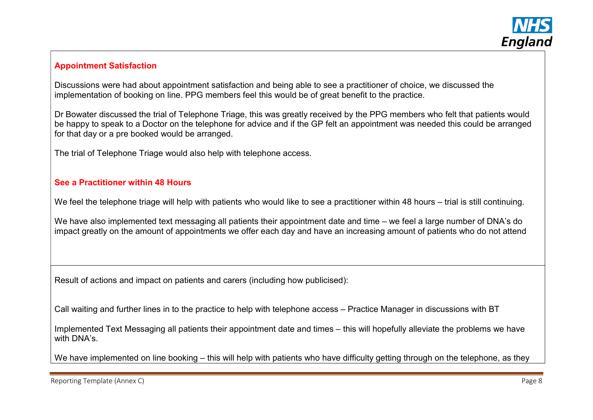

# Appointment Satisfaction

Discussions were had about appointment satisfaction and being able to see a practitioner of choice, we discussed the implementation of booking on line. PPG members feel this would be of great benefit to the practice.

Dr Bowater discussed the trial of Telephone Triage, this was greatly received by the PPG members who felt that patients would be happy to speak to a Doctor on the telephone for advice and if the GP felt an appointment was needed this could be arranged for that day or a pre booked would be arranged.

The trial of Telephone Triage would also help with telephone access.

### See a Practitioner within 48 Hours

We feel the telephone triage will help with patients who would like to see a practitioner within 48 hours – trial is still continuing.

We have also implemented text messaging all patients their appointment date and time – we feel a large number of DNA's do impact greatly on the amount of appointments we offer each day and have an increasing amount of patients who do not attend

Result of actions and impact on patients and carers (including how publicised):

Call waiting and further lines in to the practice to help with telephone access – Practice Manager in discussions with BT

Implemented Text Messaging all patients their appointment date and times – this will hopefully alleviate the problems we have with DNA's.

We have implemented on line booking – this will help with patients who have difficulty getting through on the telephone, as they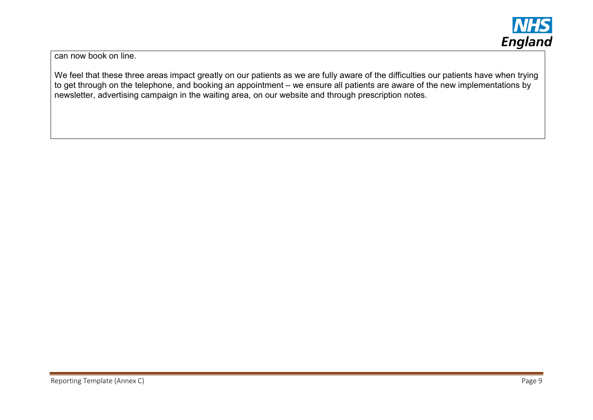

can now book on line.

We feel that these three areas impact greatly on our patients as we are fully aware of the difficulties our patients have when trying to get through on the telephone, and booking an appointment – we ensure all patients are aware of the new implementations by newsletter, advertising campaign in the waiting area, on our website and through prescription notes.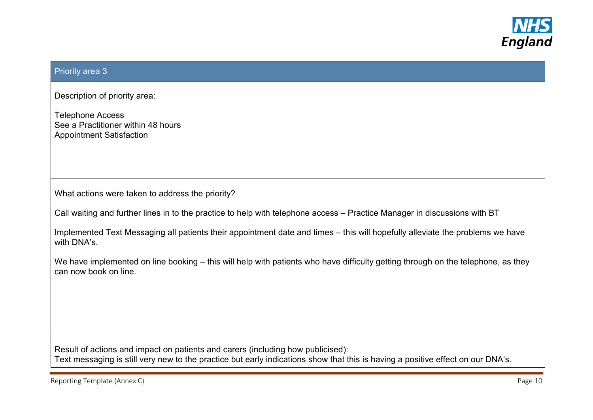

### Priority area 3

Description of priority area:

Telephone Access See a Practitioner within 48 hours Appointment Satisfaction

What actions were taken to address the priority?

Call waiting and further lines in to the practice to help with telephone access – Practice Manager in discussions with BT

Implemented Text Messaging all patients their appointment date and times – this will hopefully alleviate the problems we have with DNA's.

We have implemented on line booking – this will help with patients who have difficulty getting through on the telephone, as they can now book on line.

Result of actions and impact on patients and carers (including how publicised): Text messaging is still very new to the practice but early indications show that this is having a positive effect on our DNA's.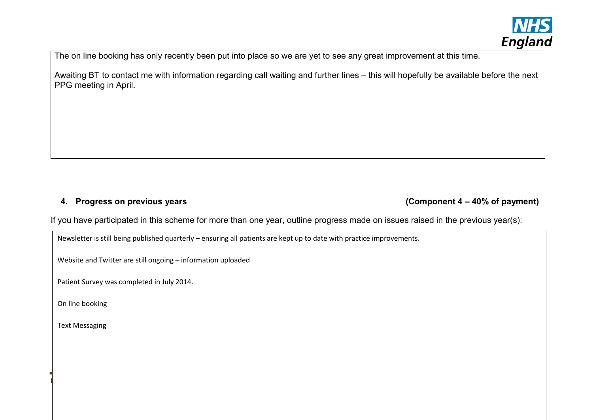

The on line booking has only recently been put into place so we are yet to see any great improvement at this time.

Awaiting BT to contact me with information regarding call waiting and further lines – this will hopefully be available before the next PPG meeting in April.

4. Progress on previous years (Component 4 – 40% of payment)

If you have participated in this scheme for more than one year, outline progress made on issues raised in the previous year(s):

Reporting Template (Annex C) Page 11

Newsletter is still being published quarterly – ensuring all patients are kept up to date with practice improvements.

Website and Twitter are still ongoing – information uploaded

Patient Survey was completed in July 2014.

On line booking

Text Messaging